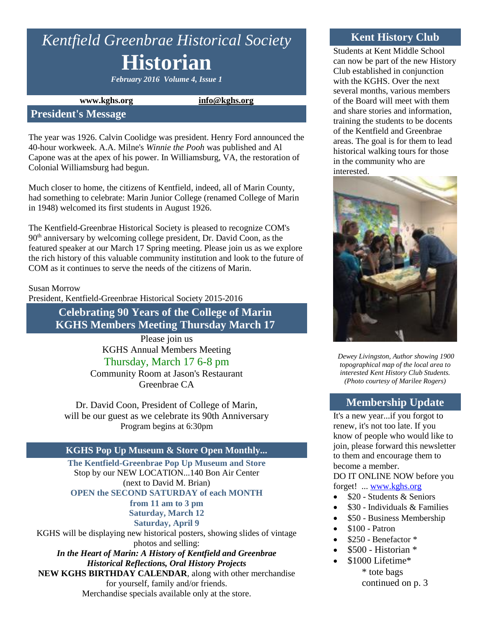# *Kentfield Greenbrae Historical Society* **Historian**

*February 2016 Volume 4, Issue 1*

**www.kghs.org [info@kghs.org](mailto:info@kghs.org)**

#### **President's Message**

The year was 1926. Calvin Coolidge was president. Henry Ford announced the 40-hour workweek. A.A. Milne's *Winnie the Pooh* was published and Al Capone was at the apex of his power. In Williamsburg, VA, the restoration of Colonial Williamsburg had begun.

Much closer to home, the citizens of Kentfield, indeed, all of Marin County, had something to celebrate: Marin Junior College (renamed College of Marin in 1948) welcomed its first students in August 1926.

The Kentfield-Greenbrae Historical Society is pleased to recognize COM's  $90<sup>th</sup>$  anniversary by welcoming college president, Dr. David Coon, as the featured speaker at our March 17 Spring meeting. Please join us as we explore the rich history of this valuable community institution and look to the future of COM as it continues to serve the needs of the citizens of Marin.

Susan Morrow

President, Kentfield-Greenbrae Historical Society 2015-2016

**Celebrating 90 Years of the College of Marin KGHS Members Meeting Thursday March 17**

> Please join us KGHS Annual Members Meeting Thursday, March 17 6-8 pm Community Room at Jason's Restaurant Greenbrae CA

Dr. David Coon, President of College of Marin, will be our guest as we celebrate its 90th Anniversary Program begins at 6:30pm

## **KGHS Pop Up Museum & Store Open Monthly...**

**The Kentfield-Greenbrae Pop Up Museum and Store** Stop by our NEW LOCATION...140 Bon Air Center (next to David M. Brian) **OPEN the SECOND SATURDAY of each MONTH from 11 am to 3 pm Saturday, March 12 Saturday, April 9** KGHS will be displaying new historical posters, showing slides of vintage

photos and selling: *In the Heart of Marin: A History of Kentfield and Greenbrae*

*Historical Reflections, Oral History Projects* **NEW KGHS BIRTHDAY CALENDAR**, along with other merchandise

for yourself, family and/or friends. Merchandise specials available only at the store.

## **Kent History Club**

Students at Kent Middle School can now be part of the new History Club established in conjunction with the KGHS. Over the next several months, various members of the Board will meet with them and share stories and information, training the students to be docents of the Kentfield and Greenbrae areas. The goal is for them to lead historical walking tours for those in the community who are interested.



*Dewey Livingston, Author showing 1900 topographical map of the local area to interested Kent History Club Students. (Photo courtesy of Marilee Rogers)*

#### **Membership Update**

It's a new year...if you forgot to renew, it's not too late. If you know of people who would like to join, please forward this newsletter to them and encourage them to become a member.

DO IT ONLINE NOW before you forget! ... [www.kghs.org](http://www.kghs.org/) 

- $\bullet$  \$20 Students & Seniors
- $\bullet$  \$30 Individuals & Families
- \$50 Business Membership
- $\bullet$  \$100 Patron
- \$250 Benefactor \*
- $\bullet$  \$500 Historian  $*$
- \$1000 Lifetime\* \* tote bags continued on p. 3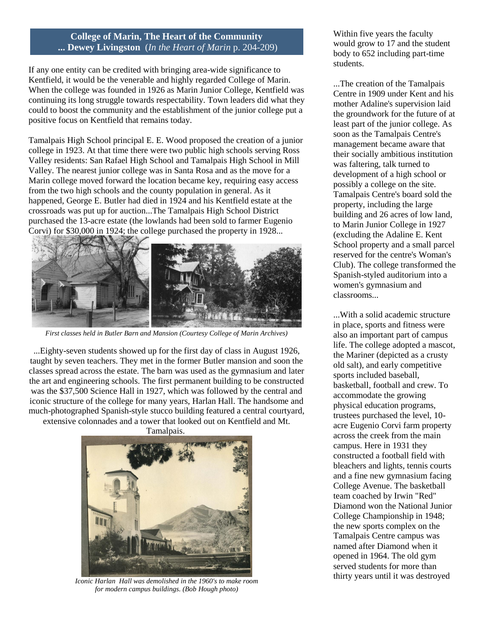#### **College of Marin, The Heart of the Community ... Dewey Livingston** (*In the Heart of Marin* p. 204-209)

If any one entity can be credited with bringing area-wide significance to Kentfield, it would be the venerable and highly regarded College of Marin. When the college was founded in 1926 as Marin Junior College, Kentfield was continuing its long struggle towards respectability. Town leaders did what they could to boost the community and the establishment of the junior college put a positive focus on Kentfield that remains today.

Tamalpais High School principal E. E. Wood proposed the creation of a junior college in 1923. At that time there were two public high schools serving Ross Valley residents: San Rafael High School and Tamalpais High School in Mill Valley. The nearest junior college was in Santa Rosa and as the move for a Marin college moved forward the location became key, requiring easy access from the two high schools and the county population in general. As it happened, George E. Butler had died in 1924 and his Kentfield estate at the crossroads was put up for auction...The Tamalpais High School District purchased the 13-acre estate (the lowlands had been sold to farmer Eugenio Corvi) for \$30,000 in 1924; the college purchased the property in 1928...



*First classes held in Butler Barn and Mansion (Courtesy College of Marin Archives)*

...Eighty-seven students showed up for the first day of class in August 1926, taught by seven teachers. They met in the former Butler mansion and soon the classes spread across the estate. The barn was used as the gymnasium and later the art and engineering schools. The first permanent building to be constructed was the \$37,500 Science Hall in 1927, which was followed by the central and iconic structure of the college for many years, Harlan Hall. The handsome and much-photographed Spanish-style stucco building featured a central courtyard, extensive colonnades and a tower that looked out on Kentfield and Mt.



*Iconic Harlan Hall was demolished in the 1960's to make room for modern campus buildings. (Bob Hough photo)*

Within five years the faculty would grow to 17 and the student body to 652 including part-time students.

...The creation of the Tamalpais Centre in 1909 under Kent and his mother Adaline's supervision laid the groundwork for the future of at least part of the junior college. As soon as the Tamalpais Centre's management became aware that their socially ambitious institution was faltering, talk turned to development of a high school or possibly a college on the site. Tamalpais Centre's board sold the property, including the large building and 26 acres of low land, to Marin Junior College in 1927 (excluding the Adaline E. Kent School property and a small parcel reserved for the centre's Woman's Club). The college transformed the Spanish-styled auditorium into a women's gymnasium and classrooms...

...With a solid academic structure in place, sports and fitness were also an important part of campus life. The college adopted a mascot, the Mariner (depicted as a crusty old salt), and early competitive sports included baseball, basketball, football and crew. To accommodate the growing physical education programs, trustees purchased the level, 10 acre Eugenio Corvi farm property across the creek from the main campus. Here in 1931 they constructed a football field with bleachers and lights, tennis courts and a fine new gymnasium facing College Avenue. The basketball team coached by Irwin "Red" Diamond won the National Junior College Championship in 1948; the new sports complex on the Tamalpais Centre campus was named after Diamond when it opened in 1964. The old gym served students for more than thirty years until it was destroyed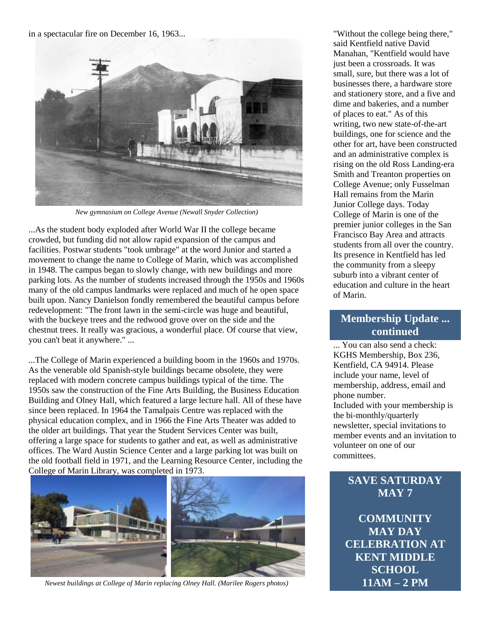in a spectacular fire on December 16, 1963...



*New gymnasium on College Avenue (Newall Snyder Collection)*

...As the student body exploded after World War II the college became crowded, but funding did not allow rapid expansion of the campus and facilities. Postwar students "took umbrage" at the word Junior and started a movement to change the name to College of Marin, which was accomplished in 1948. The campus began to slowly change, with new buildings and more parking lots. As the number of students increased through the 1950s and 1960s many of the old campus landmarks were replaced and much of he open space built upon. Nancy Danielson fondly remembered the beautiful campus before redevelopment: "The front lawn in the semi-circle was huge and beautiful, with the buckeye trees and the redwood grove over on the side and the chestnut trees. It really was gracious, a wonderful place. Of course that view, you can't beat it anywhere." ...

...The College of Marin experienced a building boom in the 1960s and 1970s. As the venerable old Spanish-style buildings became obsolete, they were replaced with modern concrete campus buildings typical of the time. The 1950s saw the construction of the Fine Arts Building, the Business Education Building and Olney Hall, which featured a large lecture hall. All of these have since been replaced. In 1964 the Tamalpais Centre was replaced with the physical education complex, and in 1966 the Fine Arts Theater was added to the older art buildings. That year the Student Services Center was built, offering a large space for students to gather and eat, as well as administrative offices. The Ward Austin Science Center and a large parking lot was built on the old football field in 1971, and the Learning Resource Center, including the College of Marin Library, was completed in 1973.



*Newest buildings at College of Marin replacing Olney Hall. (Marilee Rogers photos)*

"Without the college being there," said Kentfield native David Manahan, "Kentfield would have just been a crossroads. It was small, sure, but there was a lot of businesses there, a hardware store and stationery store, and a five and dime and bakeries, and a number of places to eat." As of this writing, two new state-of-the-art buildings, one for science and the other for art, have been constructed and an administrative complex is rising on the old Ross Landing-era Smith and Treanton properties on College Avenue; only Fusselman Hall remains from the Marin Junior College days. Today College of Marin is one of the premier junior colleges in the San Francisco Bay Area and attracts students from all over the country. Its presence in Kentfield has led the community from a sleepy suburb into a vibrant center of education and culture in the heart of Marin.

# **Membership Update ... continued**

... You can also send a check: KGHS Membership, Box 236, Kentfield, CA 94914. Please include your name, level of membership, address, email and phone number.

Included with your membership is the bi-monthly/quarterly newsletter, special invitations to member events and an invitation to volunteer on one of our committees.

# **SAVE SATURDAY MAY 7**

**COMMUNITY MAY DAY CELEBRATION AT KENT MIDDLE SCHOOL 11AM – 2 PM**